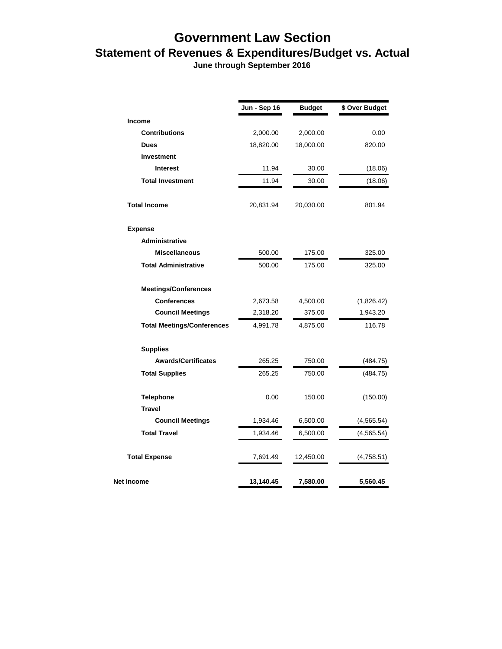## **Government Law Section Statement of Revenues & Expenditures/Budget vs. Actual**

 **June through September 2016**

|                                   | Jun - Sep 16 | <b>Budget</b> | \$ Over Budget |
|-----------------------------------|--------------|---------------|----------------|
| <b>Income</b>                     |              |               |                |
| <b>Contributions</b>              | 2,000.00     | 2,000.00      | 0.00           |
| <b>Dues</b>                       | 18,820.00    | 18,000.00     | 820.00         |
| Investment                        |              |               |                |
| <b>Interest</b>                   | 11.94        | 30.00         | (18.06)        |
| <b>Total Investment</b>           | 11.94        | 30.00         | (18.06)        |
| <b>Total Income</b>               | 20,831.94    | 20,030.00     | 801.94         |
| <b>Expense</b>                    |              |               |                |
| Administrative                    |              |               |                |
| <b>Miscellaneous</b>              | 500.00       | 175.00        | 325.00         |
| <b>Total Administrative</b>       | 500.00       | 175.00        | 325.00         |
| <b>Meetings/Conferences</b>       |              |               |                |
| <b>Conferences</b>                | 2,673.58     | 4,500.00      | (1,826.42)     |
| <b>Council Meetings</b>           | 2,318.20     | 375.00        | 1,943.20       |
| <b>Total Meetings/Conferences</b> | 4,991.78     | 4,875.00      | 116.78         |
| <b>Supplies</b>                   |              |               |                |
| <b>Awards/Certificates</b>        | 265.25       | 750.00        | (484.75)       |
| <b>Total Supplies</b>             | 265.25       | 750.00        | (484.75)       |
| <b>Telephone</b>                  | 0.00         | 150.00        | (150.00)       |
| <b>Travel</b>                     |              |               |                |
| <b>Council Meetings</b>           | 1,934.46     | 6,500.00      | (4, 565.54)    |
| <b>Total Travel</b>               | 1,934.46     | 6,500.00      | (4,565.54)     |
| <b>Total Expense</b>              | 7,691.49     | 12,450.00     | (4,758.51)     |
| Net Income                        | 13,140.45    | 7,580.00      | 5,560.45       |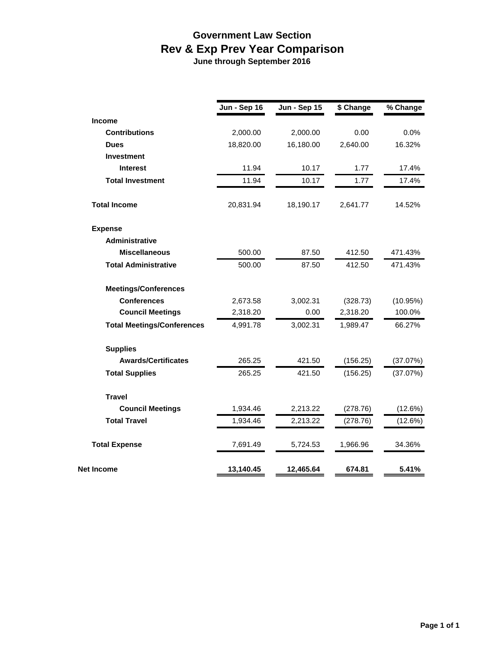## **Government Law Section Rev & Exp Prev Year Comparison**

 **June through September 2016**

|                                   | Jun - Sep 16 | <b>Jun - Sep 15</b> | \$ Change | % Change |
|-----------------------------------|--------------|---------------------|-----------|----------|
| <b>Income</b>                     |              |                     |           |          |
| <b>Contributions</b>              | 2,000.00     | 2,000.00            | 0.00      | 0.0%     |
| <b>Dues</b>                       | 18,820.00    | 16,180.00           | 2,640.00  | 16.32%   |
| Investment                        |              |                     |           |          |
| <b>Interest</b>                   | 11.94        | 10.17               | 1.77      | 17.4%    |
| <b>Total Investment</b>           | 11.94        | 10.17               | 1.77      | 17.4%    |
| <b>Total Income</b>               | 20,831.94    | 18,190.17           | 2,641.77  | 14.52%   |
| <b>Expense</b>                    |              |                     |           |          |
| <b>Administrative</b>             |              |                     |           |          |
| <b>Miscellaneous</b>              | 500.00       | 87.50               | 412.50    | 471.43%  |
| <b>Total Administrative</b>       | 500.00       | 87.50               | 412.50    | 471.43%  |
| <b>Meetings/Conferences</b>       |              |                     |           |          |
| <b>Conferences</b>                | 2,673.58     | 3,002.31            | (328.73)  | (10.95%) |
| <b>Council Meetings</b>           | 2,318.20     | 0.00                | 2,318.20  | 100.0%   |
| <b>Total Meetings/Conferences</b> | 4,991.78     | 3,002.31            | 1,989.47  | 66.27%   |
| <b>Supplies</b>                   |              |                     |           |          |
| <b>Awards/Certificates</b>        | 265.25       | 421.50              | (156.25)  | (37.07%) |
| <b>Total Supplies</b>             | 265.25       | 421.50              | (156.25)  | (37.07%) |
| <b>Travel</b>                     |              |                     |           |          |
| <b>Council Meetings</b>           | 1,934.46     | 2,213.22            | (278.76)  | (12.6%)  |
| <b>Total Travel</b>               | 1,934.46     | 2,213.22            | (278.76)  | (12.6%)  |
| <b>Total Expense</b>              | 7,691.49     | 5,724.53            | 1,966.96  | 34.36%   |
| Net Income                        | 13,140.45    | 12,465.64           | 674.81    | 5.41%    |